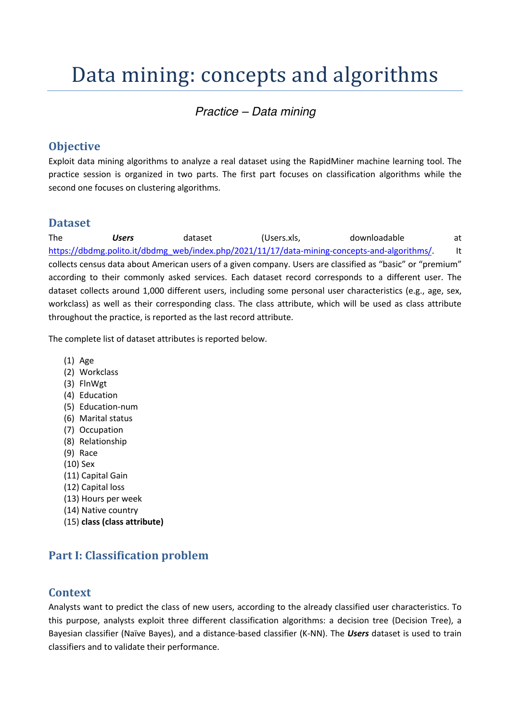# Data mining: concepts and algorithms

# *Practice – Data mining*

# **Objective**

Exploit data mining algorithms to analyze a real dataset using the RapidMiner machine learning tool. The practice session is organized in two parts. The first part focuses on classification algorithms while the second one focuses on clustering algorithms.

## **Dataset**

The *Users* dataset (Users.xls, downloadable at https://dbdmg.polito.it/dbdmg\_web/index.php/2021/11/17/data-mining-concepts-and-algorithms/. It collects census data about American users of a given company. Users are classified as "basic" or "premium" according to their commonly asked services. Each dataset record corresponds to a different user. The dataset collects around 1,000 different users, including some personal user characteristics (e.g., age, sex, workclass) as well as their corresponding class. The class attribute, which will be used as class attribute throughout the practice, is reported as the last record attribute.

The complete list of dataset attributes is reported below.

- (1) Age
- (2) Workclass
- (3) FlnWgt
- (4) Education
- (5) Education-num
- (6) Marital status
- (7) Occupation
- (8) Relationship
- (9) Race
- (10) Sex
- (11) Capital Gain
- (12) Capital loss
- (13) Hours per week
- (14) Native country
- (15) **class (class attribute)**

# **Part I: Classification problem**

## **Context**

Analysts want to predict the class of new users, according to the already classified user characteristics. To this purpose, analysts exploit three different classification algorithms: a decision tree (Decision Tree), a Bayesian classifier (Naïve Bayes), and a distance-based classifier (K-NN). The *Users* dataset is used to train classifiers and to validate their performance.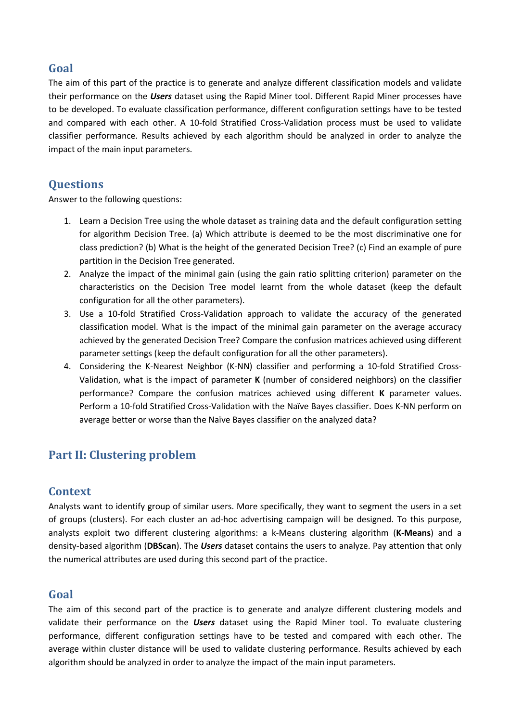# **Goal**

The aim of this part of the practice is to generate and analyze different classification models and validate their performance on the *Users* dataset using the Rapid Miner tool. Different Rapid Miner processes have to be developed. To evaluate classification performance, different configuration settings have to be tested and compared with each other. A 10-fold Stratified Cross-Validation process must be used to validate classifier performance. Results achieved by each algorithm should be analyzed in order to analyze the impact of the main input parameters.

## **Questions**

Answer to the following questions:

- 1. Learn a Decision Tree using the whole dataset as training data and the default configuration setting for algorithm Decision Tree. (a) Which attribute is deemed to be the most discriminative one for class prediction? (b) What is the height of the generated Decision Tree? (c) Find an example of pure partition in the Decision Tree generated.
- 2. Analyze the impact of the minimal gain (using the gain ratio splitting criterion) parameter on the characteristics on the Decision Tree model learnt from the whole dataset (keep the default configuration for all the other parameters).
- 3. Use a 10-fold Stratified Cross-Validation approach to validate the accuracy of the generated classification model. What is the impact of the minimal gain parameter on the average accuracy achieved by the generated Decision Tree? Compare the confusion matrices achieved using different parameter settings (keep the default configuration for all the other parameters).
- 4. Considering the K-Nearest Neighbor (K-NN) classifier and performing a 10-fold Stratified Cross-Validation, what is the impact of parameter **K** (number of considered neighbors) on the classifier performance? Compare the confusion matrices achieved using different **K** parameter values. Perform a 10-fold Stratified Cross-Validation with the Naïve Bayes classifier. Does K-NN perform on average better or worse than the Naïve Bayes classifier on the analyzed data?

# **Part II: Clustering problem**

## **Context**

Analysts want to identify group of similar users. More specifically, they want to segment the users in a set of groups (clusters). For each cluster an ad-hoc advertising campaign will be designed. To this purpose, analysts exploit two different clustering algorithms: a k-Means clustering algorithm (**K-Means**) and a density-based algorithm (**DBScan**). The *Users* dataset contains the users to analyze. Pay attention that only the numerical attributes are used during this second part of the practice.

## **Goal**

The aim of this second part of the practice is to generate and analyze different clustering models and validate their performance on the *Users* dataset using the Rapid Miner tool. To evaluate clustering performance, different configuration settings have to be tested and compared with each other. The average within cluster distance will be used to validate clustering performance. Results achieved by each algorithm should be analyzed in order to analyze the impact of the main input parameters.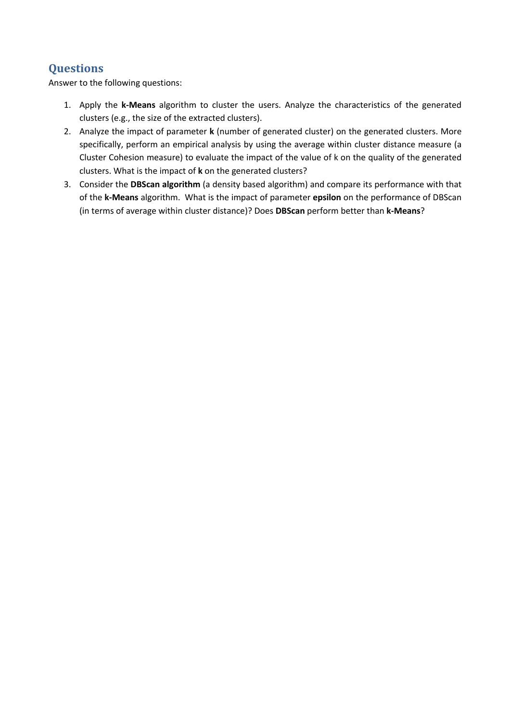# **Questions**

Answer to the following questions:

- 1. Apply the **k-Means** algorithm to cluster the users. Analyze the characteristics of the generated clusters (e.g., the size of the extracted clusters).
- 2. Analyze the impact of parameter **k** (number of generated cluster) on the generated clusters. More specifically, perform an empirical analysis by using the average within cluster distance measure (a Cluster Cohesion measure) to evaluate the impact of the value of k on the quality of the generated clusters. What is the impact of **k** on the generated clusters?
- 3. Consider the **DBScan algorithm** (a density based algorithm) and compare its performance with that of the **k-Means** algorithm. What is the impact of parameter **epsilon** on the performance of DBScan (in terms of average within cluster distance)? Does **DBScan** perform better than **k-Means**?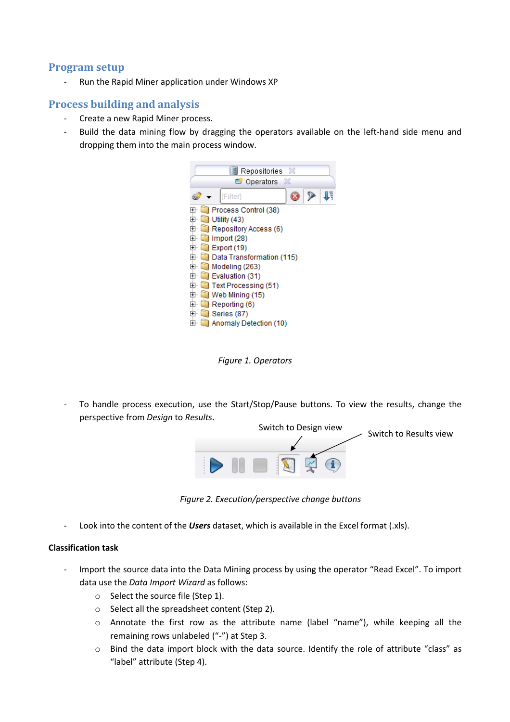### **Program setup**

Run the Rapid Miner application under Windows XP

#### **Process building and analysis**

- Create a new Rapid Miner process.
- Build the data mining flow by dragging the operators available on the left-hand side menu and dropping them into the main process window.



*Figure 1. Operators*

To handle process execution, use the Start/Stop/Pause buttons. To view the results, change the perspective from *Design* to *Results*.



*Figure 2. Execution/perspective change buttons*

Look into the content of the *Users* dataset, which is available in the Excel format (.xls).

#### **Classification task**

- Import the source data into the Data Mining process by using the operator "Read Excel". To import data use the *Data Import Wizard* as follows:
	- o Select the source file (Step 1).
	- o Select all the spreadsheet content (Step 2).
	- o Annotate the first row as the attribute name (label "name"), while keeping all the remaining rows unlabeled ("-") at Step 3.
	- o Bind the data import block with the data source. Identify the role of attribute "class" as "label" attribute (Step 4).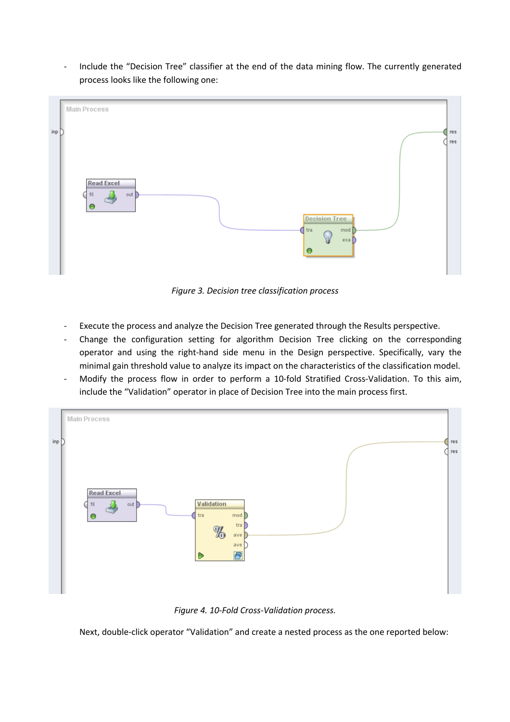- Include the "Decision Tree" classifier at the end of the data mining flow. The currently generated process looks like the following one:



*Figure 3. Decision tree classification process*

- Execute the process and analyze the Decision Tree generated through the Results perspective.
- Change the configuration setting for algorithm Decision Tree clicking on the corresponding operator and using the right-hand side menu in the Design perspective. Specifically, vary the minimal gain threshold value to analyze its impact on the characteristics of the classification model.
- Modify the process flow in order to perform a 10-fold Stratified Cross-Validation. To this aim, include the "Validation" operator in place of Decision Tree into the main process first.



*Figure 4. 10-Fold Cross-Validation process.*

Next, double-click operator "Validation" and create a nested process as the one reported below: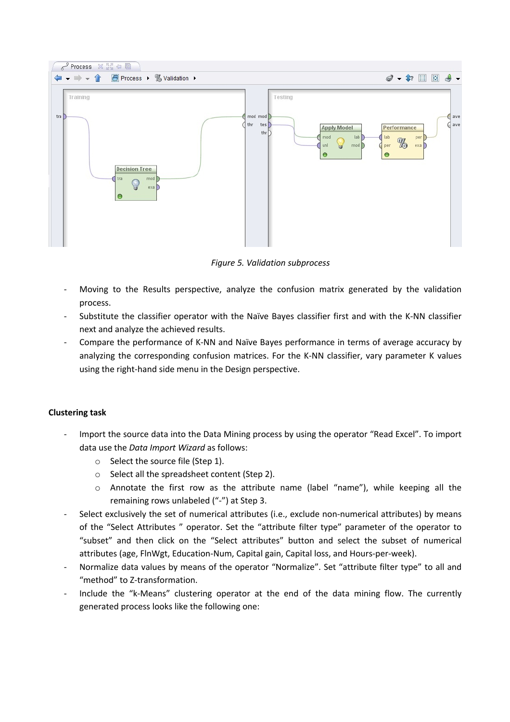

*Figure 5. Validation subprocess*

- Moving to the Results perspective, analyze the confusion matrix generated by the validation process.
- Substitute the classifier operator with the Naïve Bayes classifier first and with the K-NN classifier next and analyze the achieved results.
- Compare the performance of K-NN and Naïve Bayes performance in terms of average accuracy by analyzing the corresponding confusion matrices. For the K-NN classifier, vary parameter K values using the right-hand side menu in the Design perspective.

#### **Clustering task**

- Import the source data into the Data Mining process by using the operator "Read Excel". To import data use the *Data Import Wizard* as follows:
	- o Select the source file (Step 1).
	- o Select all the spreadsheet content (Step 2).
	- o Annotate the first row as the attribute name (label "name"), while keeping all the remaining rows unlabeled ("-") at Step 3.
- Select exclusively the set of numerical attributes (i.e., exclude non-numerical attributes) by means of the "Select Attributes " operator. Set the "attribute filter type" parameter of the operator to "subset" and then click on the "Select attributes" button and select the subset of numerical attributes (age, FlnWgt, Education-Num, Capital gain, Capital loss, and Hours-per-week).
- Normalize data values by means of the operator "Normalize". Set "attribute filter type" to all and "method" to Z-transformation.
- Include the "k-Means" clustering operator at the end of the data mining flow. The currently generated process looks like the following one: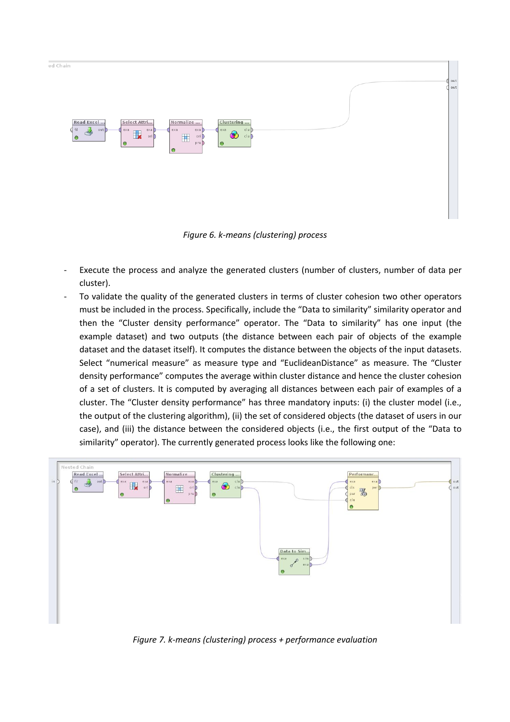

*Figure 6. k-means (clustering) process*

- Execute the process and analyze the generated clusters (number of clusters, number of data per cluster).
- To validate the quality of the generated clusters in terms of cluster cohesion two other operators must be included in the process. Specifically, include the "Data to similarity" similarity operator and then the "Cluster density performance" operator. The "Data to similarity" has one input (the example dataset) and two outputs (the distance between each pair of objects of the example dataset and the dataset itself). It computes the distance between the objects of the input datasets. Select "numerical measure" as measure type and "EuclideanDistance" as measure. The "Cluster density performance" computes the average within cluster distance and hence the cluster cohesion of a set of clusters. It is computed by averaging all distances between each pair of examples of a cluster. The "Cluster density performance" has three mandatory inputs: (i) the cluster model (i.e., the output of the clustering algorithm), (ii) the set of considered objects (the dataset of users in our case), and (iii) the distance between the considered objects (i.e., the first output of the "Data to similarity" operator). The currently generated process looks like the following one:



*Figure 7. k-means (clustering) process + performance evaluation*